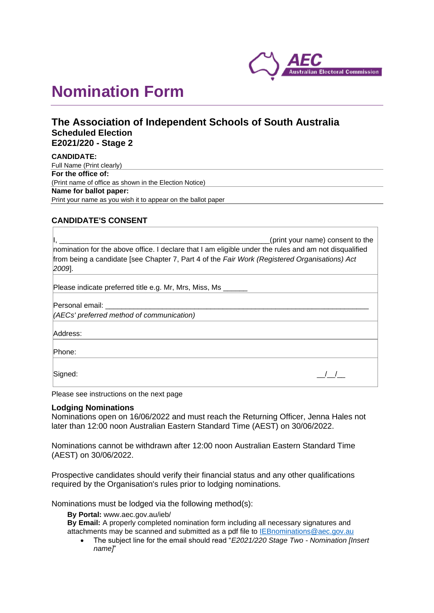

# **Nomination Form**

## **The Association of Independent Schools of South Australia Scheduled Election E2021/220 - Stage 2**

**CANDIDATE:** Full Name (Print clearly) **For the office of:** (Print name of office as shown in the Election Notice) **Name for ballot paper:** Print your name as you wish it to appear on the ballot paper

### **CANDIDATE'S CONSENT**

| (print your name) consent to the<br>nomination for the above office. I declare that I am eligible under the rules and am not disqualified<br>from being a candidate [see Chapter 7, Part 4 of the Fair Work (Registered Organisations) Act<br>$[2009]$ . |
|----------------------------------------------------------------------------------------------------------------------------------------------------------------------------------------------------------------------------------------------------------|
| Please indicate preferred title e.g. Mr, Mrs, Miss, Ms                                                                                                                                                                                                   |
| Personal email: New York 1997<br>(AECs' preferred method of communication)                                                                                                                                                                               |
| Address:                                                                                                                                                                                                                                                 |
| Phone:                                                                                                                                                                                                                                                   |
| Signed:                                                                                                                                                                                                                                                  |

Please see instructions on the next page

#### **Lodging Nominations**

Nominations open on 16/06/2022 and must reach the Returning Officer, Jenna Hales not later than 12:00 noon Australian Eastern Standard Time (AEST) on 30/06/2022.

Nominations cannot be withdrawn after 12:00 noon Australian Eastern Standard Time (AEST) on 30/06/2022.

Prospective candidates should verify their financial status and any other qualifications required by the Organisation's rules prior to lodging nominations.

Nominations must be lodged via the following method(s):

**By Portal:** www.aec.gov.au/ieb/

**By Email:** A properly completed nomination form including all necessary signatures and attachments may be scanned and submitted as a pdf file to [IEBnominations@aec.gov.au](mailto:IEBnominations@aec.gov.au)

• The subject line for the email should read "*E2021/220 Stage Two - Nomination [Insert name]*"